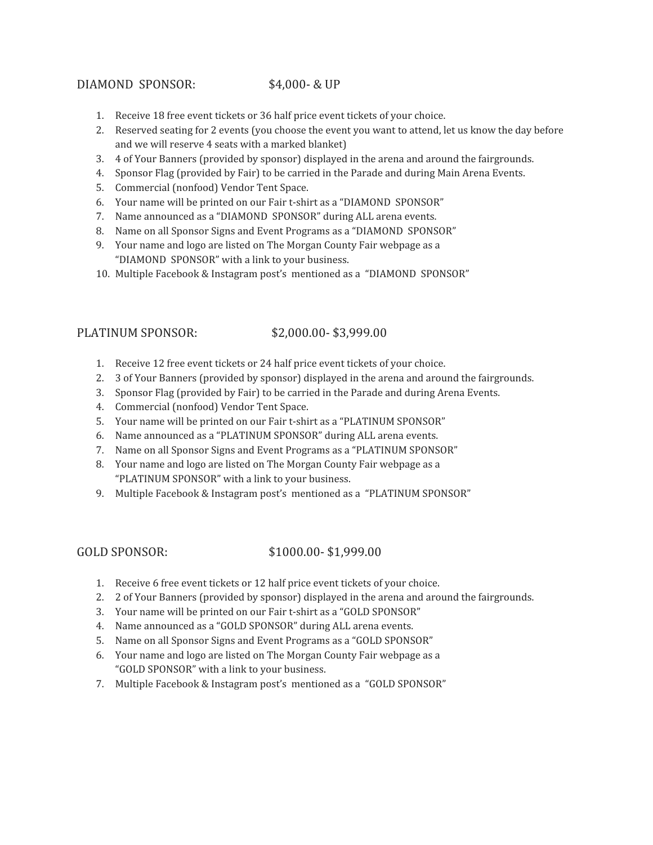## DIAMOND SPONSOR: \$4,000- & UP

- 1. Receive 18 free event tickets or 36 half price event tickets of your choice.
- 2. Reserved seating for 2 events (you choose the event you want to attend, let us know the day before and we will reserve 4 seats with a marked blanket)
- 3. 4 of Your Banners (provided by sponsor) displayed in the arena and around the fairgrounds.
- 4. Sponsor Flag (provided by Fair) to be carried in the Parade and during Main Arena Events.
- 5. Commercial (nonfood) Vendor Tent Space.
- 6. Your name will be printed on our Fair t-shirt as a "DIAMOND SPONSOR"
- 7. Name announced as a "DIAMOND SPONSOR" during ALL arena events.
- 8. Name on all Sponsor Signs and Event Programs as a "DIAMOND SPONSOR"
- 9. Your name and logo are listed on The Morgan County Fair webpage as a "DIAMOND SPONSOR" with a link to your business.
- 10. Multiple Facebook & Instagram post's mentioned as a "DIAMOND SPONSOR"

## PLATINUM SPONSOR: \$2,000.00- \$3,999.00

- 1. Receive 12 free event tickets or 24 half price event tickets of your choice.
- 2. 3 of Your Banners (provided by sponsor) displayed in the arena and around the fairgrounds.
- 3. Sponsor Flag (provided by Fair) to be carried in the Parade and during Arena Events.
- 4. Commercial (nonfood) Vendor Tent Space.
- 5. Your name will be printed on our Fair t-shirt as a "PLATINUM SPONSOR"
- 6. Name announced as a "PLATINUM SPONSOR" during ALL arena events.
- 7. Name on all Sponsor Signs and Event Programs as a "PLATINUM SPONSOR"
- 8. Your name and logo are listed on The Morgan County Fair webpage as a "PLATINUM SPONSOR" with a link to your business.
- 9. Multiple Facebook & Instagram post's mentioned as a "PLATINUM SPONSOR"

## GOLD SPONSOR: \$1000.00-\$1,999.00

- 1. Receive 6 free event tickets or 12 half price event tickets of your choice.
- 2. 2 of Your Banners (provided by sponsor) displayed in the arena and around the fairgrounds.
- 3. Your name will be printed on our Fair t-shirt as a "GOLD SPONSOR"
- 4. Name announced as a "GOLD SPONSOR" during ALL arena events.
- 5. Name on all Sponsor Signs and Event Programs as a "GOLD SPONSOR"
- 6. Your name and logo are listed on The Morgan County Fair webpage as a "GOLD SPONSOR" with a link to your business.
- 7. Multiple Facebook & Instagram post's mentioned as a "GOLD SPONSOR"